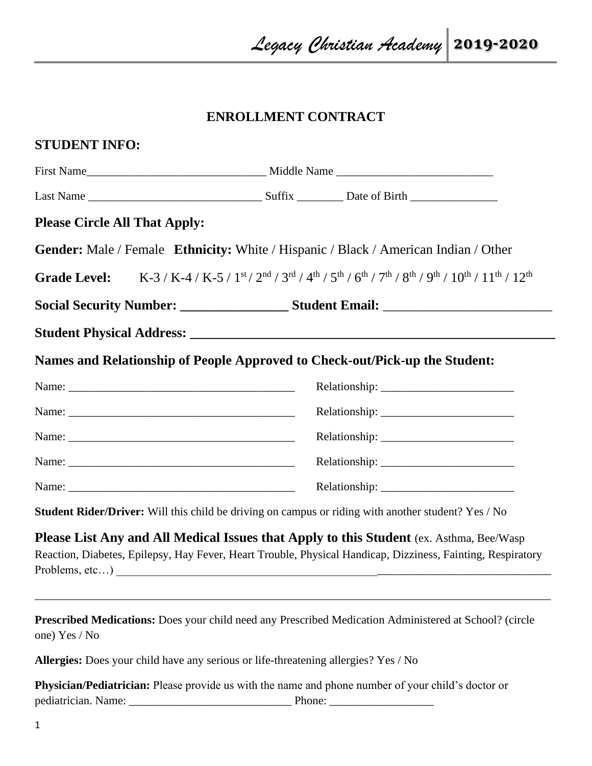## **ENROLLMENT CONTRACT**

| <b>Please Circle All That Apply:</b>                                        |                                                   |                                                                                                                                                                                                        |  |
|-----------------------------------------------------------------------------|---------------------------------------------------|--------------------------------------------------------------------------------------------------------------------------------------------------------------------------------------------------------|--|
|                                                                             |                                                   | <b>Gender:</b> Male / Female <b>Ethnicity:</b> White / Hispanic / Black / American Indian / Other                                                                                                      |  |
|                                                                             |                                                   | Grade Level: K-3 / K-4 / K-5 / 1st / 2nd / 3rd / 4th / 5th / 6th / 7th / 8th / 9th / 10th / 11th / 12th                                                                                                |  |
|                                                                             |                                                   |                                                                                                                                                                                                        |  |
|                                                                             |                                                   |                                                                                                                                                                                                        |  |
| Names and Relationship of People Approved to Check-out/Pick-up the Student: |                                                   |                                                                                                                                                                                                        |  |
|                                                                             |                                                   |                                                                                                                                                                                                        |  |
|                                                                             |                                                   |                                                                                                                                                                                                        |  |
|                                                                             |                                                   |                                                                                                                                                                                                        |  |
|                                                                             |                                                   |                                                                                                                                                                                                        |  |
|                                                                             |                                                   |                                                                                                                                                                                                        |  |
|                                                                             |                                                   | Student Rider/Driver: Will this child be driving on campus or riding with another student? Yes / No                                                                                                    |  |
| Problems, etc)                                                              | <u> 1989 - Johann Barbara, martxa alemaniar a</u> | Please List Any and All Medical Issues that Apply to this Student (ex. Asthma, Bee/Wasp<br>Reaction, Diabetes, Epilepsy, Hay Fever, Heart Trouble, Physical Handicap, Dizziness, Fainting, Respiratory |  |
| one) Yes / No                                                               |                                                   | <b>Prescribed Medications:</b> Does your child need any Prescribed Medication Administered at School? (circle                                                                                          |  |
|                                                                             |                                                   |                                                                                                                                                                                                        |  |

**Physician/Pediatrician:** Please provide us with the name and phone number of your child's doctor or pediatrician. Name: \_\_\_\_\_\_\_\_\_\_\_\_\_\_\_\_\_\_\_\_\_\_\_\_\_\_\_\_ Phone: \_\_\_\_\_\_\_\_\_\_\_\_\_\_\_\_\_\_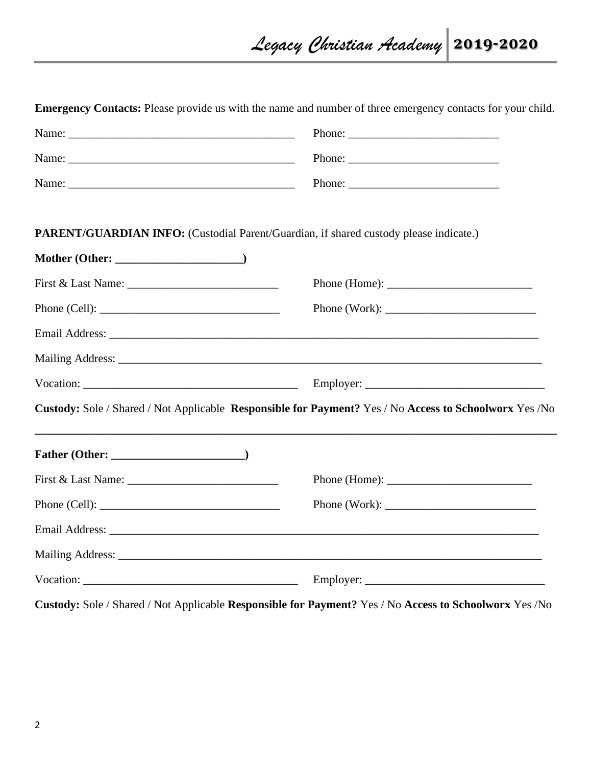| <b>Emergency Contacts:</b> Please provide us with the name and number of three emergency contacts for your child. |                                                                                                                                                                                                                                                                                                                                                                                                         |
|-------------------------------------------------------------------------------------------------------------------|---------------------------------------------------------------------------------------------------------------------------------------------------------------------------------------------------------------------------------------------------------------------------------------------------------------------------------------------------------------------------------------------------------|
|                                                                                                                   |                                                                                                                                                                                                                                                                                                                                                                                                         |
|                                                                                                                   |                                                                                                                                                                                                                                                                                                                                                                                                         |
|                                                                                                                   |                                                                                                                                                                                                                                                                                                                                                                                                         |
| <b>PARENT/GUARDIAN INFO:</b> (Custodial Parent/Guardian, if shared custody please indicate.)                      |                                                                                                                                                                                                                                                                                                                                                                                                         |
|                                                                                                                   |                                                                                                                                                                                                                                                                                                                                                                                                         |
|                                                                                                                   | Phone (Home): $\frac{1}{2}$                                                                                                                                                                                                                                                                                                                                                                             |
| Phone (Cell):                                                                                                     | Phone (Work):                                                                                                                                                                                                                                                                                                                                                                                           |
|                                                                                                                   |                                                                                                                                                                                                                                                                                                                                                                                                         |
|                                                                                                                   |                                                                                                                                                                                                                                                                                                                                                                                                         |
|                                                                                                                   |                                                                                                                                                                                                                                                                                                                                                                                                         |
| Custody: Sole / Shared / Not Applicable Responsible for Payment? Yes / No Access to Schoolworx Yes / No           |                                                                                                                                                                                                                                                                                                                                                                                                         |
|                                                                                                                   |                                                                                                                                                                                                                                                                                                                                                                                                         |
|                                                                                                                   | Phone (Home): $\frac{1}{2}$                                                                                                                                                                                                                                                                                                                                                                             |
|                                                                                                                   | Phone (Work): $\frac{1}{\sqrt{1-\frac{1}{2}}\sqrt{1-\frac{1}{2}}\sqrt{1-\frac{1}{2}}\sqrt{1-\frac{1}{2}}\sqrt{1-\frac{1}{2}}\sqrt{1-\frac{1}{2}}\sqrt{1-\frac{1}{2}}\sqrt{1-\frac{1}{2}}\sqrt{1-\frac{1}{2}}\sqrt{1-\frac{1}{2}}\sqrt{1-\frac{1}{2}}\sqrt{1-\frac{1}{2}}\sqrt{1-\frac{1}{2}}\sqrt{1-\frac{1}{2}}\sqrt{1-\frac{1}{2}}\sqrt{1-\frac{1}{2}}\sqrt{1-\frac{1}{2}}\sqrt{1-\frac{1}{2}}\sqrt{$ |
|                                                                                                                   |                                                                                                                                                                                                                                                                                                                                                                                                         |
|                                                                                                                   |                                                                                                                                                                                                                                                                                                                                                                                                         |
|                                                                                                                   |                                                                                                                                                                                                                                                                                                                                                                                                         |

**Custody:** Sole / Shared / Not Applicable **Responsible for Payment?** Yes / No **Access to Schoolworx** Yes /No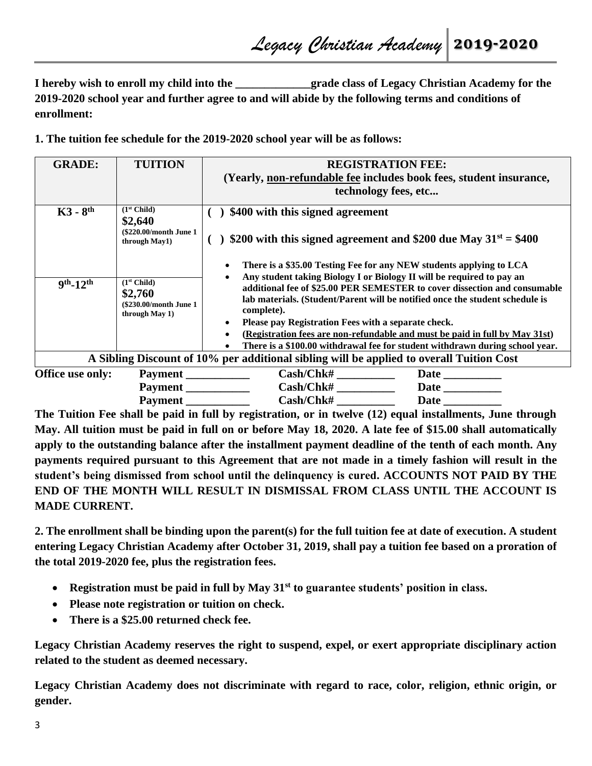**I hereby wish to enroll my child into the**  $q$  **rade class of Legacy Christian Academy for the 2019-2020 school year and further agree to and will abide by the following terms and conditions of enrollment:**

**1. The tuition fee schedule for the 2019-2020 school year will be as follows:**

| <b>GRADE:</b>          | <b>TUITION</b>                                                                  | <b>REGISTRATION FEE:</b><br>(Yearly, non-refundable fee includes book fees, student insurance,<br>technology fees, etc                                                                                                                                                                                                                                                                                                                                                                                                                        |  |
|------------------------|---------------------------------------------------------------------------------|-----------------------------------------------------------------------------------------------------------------------------------------------------------------------------------------------------------------------------------------------------------------------------------------------------------------------------------------------------------------------------------------------------------------------------------------------------------------------------------------------------------------------------------------------|--|
| $K3 - 8$ <sup>th</sup> | (1 <sup>st</sup> Child)<br>\$2,640<br>(\$220.00/month June 1)<br>through May1)  | \$400 with this signed agreement<br>\$200 with this signed agreement and \$200 due May $31^{st} = $400$                                                                                                                                                                                                                                                                                                                                                                                                                                       |  |
| $9^{th} - 12^{th}$     | (1 <sup>st</sup> Child)<br>\$2,760<br>(\$230.00/month June 1)<br>through May 1) | There is a \$35.00 Testing Fee for any NEW students applying to LCA<br>Any student taking Biology I or Biology II will be required to pay an<br>additional fee of \$25.00 PER SEMESTER to cover dissection and consumable<br>lab materials. (Student/Parent will be notified once the student schedule is<br>complete).<br>Please pay Registration Fees with a separate check.<br>(Registration fees are non-refundable and must be paid in full by May 31st)<br>There is a \$100.00 withdrawal fee for student withdrawn during school year. |  |
|                        |                                                                                 | A Sibling Discount of 10% per additional sibling will be applied to overall Tuition Cost                                                                                                                                                                                                                                                                                                                                                                                                                                                      |  |
| Office use only:       | Payment                                                                         | Cash/Chk#                                                                                                                                                                                                                                                                                                                                                                                                                                                                                                                                     |  |
|                        | Payment                                                                         | Cash/Chk#                                                                                                                                                                                                                                                                                                                                                                                                                                                                                                                                     |  |
|                        | <b>Payment</b>                                                                  | Cash/Chk#                                                                                                                                                                                                                                                                                                                                                                                                                                                                                                                                     |  |

**The Tuition Fee shall be paid in full by registration, or in twelve (12) equal installments, June through May. All tuition must be paid in full on or before May 18, 2020. A late fee of \$15.00 shall automatically apply to the outstanding balance after the installment payment deadline of the tenth of each month. Any payments required pursuant to this Agreement that are not made in a timely fashion will result in the student's being dismissed from school until the delinquency is cured. ACCOUNTS NOT PAID BY THE END OF THE MONTH WILL RESULT IN DISMISSAL FROM CLASS UNTIL THE ACCOUNT IS MADE CURRENT.** 

**2. The enrollment shall be binding upon the parent(s) for the full tuition fee at date of execution. A student entering Legacy Christian Academy after October 31, 2019, shall pay a tuition fee based on a proration of the total 2019-2020 fee, plus the registration fees.** 

- **Registration must be paid in full by May 31st to guarantee students' position in class.**
- **Please note registration or tuition on check.**
- **There is a \$25.00 returned check fee.**

**Legacy Christian Academy reserves the right to suspend, expel, or exert appropriate disciplinary action related to the student as deemed necessary.** 

**Legacy Christian Academy does not discriminate with regard to race, color, religion, ethnic origin, or gender.**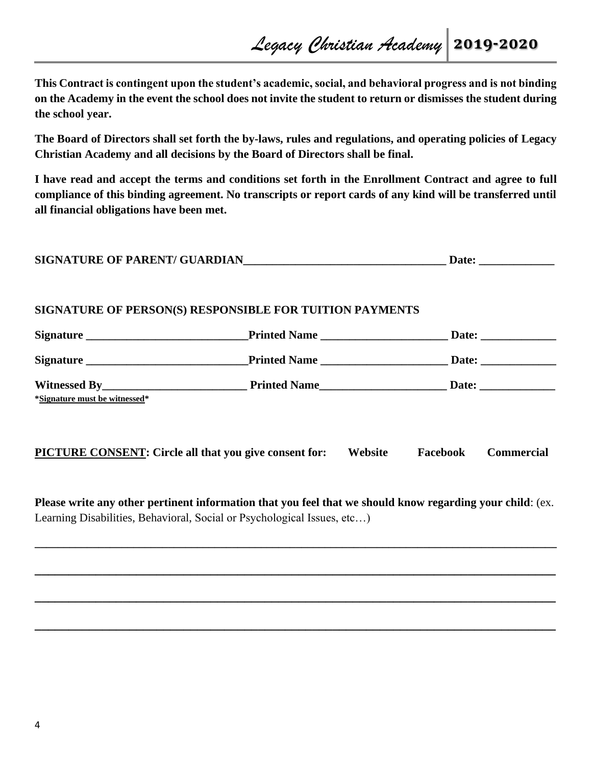**This Contract is contingent upon the student's academic, social, and behavioral progress and is not binding on the Academy in the event the school does not invite the student to return or dismisses the student during the school year.** 

**The Board of Directors shall set forth the by-laws, rules and regulations, and operating policies of Legacy Christian Academy and all decisions by the Board of Directors shall be final.** 

**I have read and accept the terms and conditions set forth in the Enrollment Contract and agree to full compliance of this binding agreement. No transcripts or report cards of any kind will be transferred until all financial obligations have been met.**

| <b>SIGNATURE OF PARENT/ GUARDIAN</b><br>Date |  |
|----------------------------------------------|--|
|----------------------------------------------|--|

## **SIGNATURE OF PERSON(S) RESPONSIBLE FOR TUITION PAYMENTS**

| *Signature must be witnessed*                                                                              |  |         |          |                   |
|------------------------------------------------------------------------------------------------------------|--|---------|----------|-------------------|
| <b>PICTURE CONSENT: Circle all that you give consent for:</b>                                              |  | Website | Facebook | <b>Commercial</b> |
| Dleage with ony other nextinent information that you feel that we ghould lynew necessiting your abild. (ay |  |         |          |                   |

**Please write any other pertinent information that you feel that we should know regarding your child**: (ex. Learning Disabilities, Behavioral, Social or Psychological Issues, etc…)

**\_\_\_\_\_\_\_\_\_\_\_\_\_\_\_\_\_\_\_\_\_\_\_\_\_\_\_\_\_\_\_\_\_\_\_\_\_\_\_\_\_\_\_\_\_\_\_\_\_\_\_\_\_\_\_\_\_\_\_\_\_\_\_\_\_\_\_\_\_\_\_\_\_\_\_\_\_\_\_\_\_\_\_\_\_\_\_\_\_\_**

**\_\_\_\_\_\_\_\_\_\_\_\_\_\_\_\_\_\_\_\_\_\_\_\_\_\_\_\_\_\_\_\_\_\_\_\_\_\_\_\_\_\_\_\_\_\_\_\_\_\_\_\_\_\_\_\_\_\_\_\_\_\_\_\_\_\_\_\_\_\_\_\_\_\_\_\_\_**

**\_\_\_\_\_\_\_\_\_\_\_\_\_\_\_\_\_\_\_\_\_\_\_\_\_\_\_\_\_\_\_\_\_\_\_\_\_\_\_\_\_\_\_\_\_\_\_\_\_\_\_\_\_\_\_\_\_\_\_\_\_\_\_\_\_\_\_\_\_\_\_\_\_\_\_\_\_**

**\_\_\_\_\_\_\_\_\_\_\_\_\_\_\_\_\_\_\_\_\_\_\_\_\_\_\_\_\_\_\_\_\_\_\_\_\_\_\_\_\_\_\_\_\_\_\_\_\_\_\_\_\_\_\_\_\_\_\_\_\_\_\_\_\_\_\_\_\_\_\_\_\_\_\_\_\_**